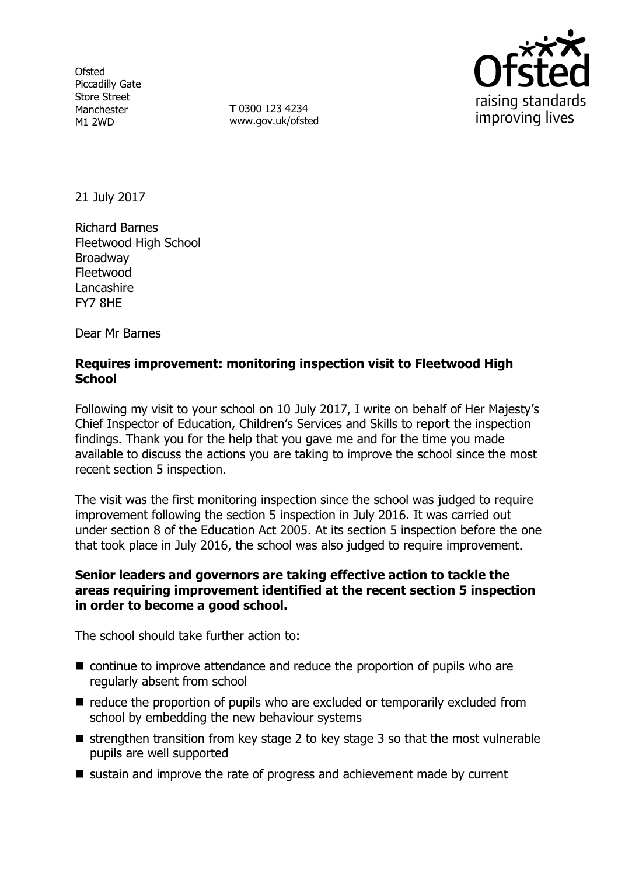**Ofsted** Piccadilly Gate Store Street Manchester M1 2WD

**T** 0300 123 4234 www.gov.uk/ofsted



21 July 2017

Richard Barnes Fleetwood High School Broadway Fleetwood **Lancashire** FY7 8HE

Dear Mr Barnes

#### **Requires improvement: monitoring inspection visit to Fleetwood High School**

Following my visit to your school on 10 July 2017, I write on behalf of Her Majesty's Chief Inspector of Education, Children's Services and Skills to report the inspection findings. Thank you for the help that you gave me and for the time you made available to discuss the actions you are taking to improve the school since the most recent section 5 inspection.

The visit was the first monitoring inspection since the school was judged to require improvement following the section 5 inspection in July 2016. It was carried out under section 8 of the Education Act 2005. At its section 5 inspection before the one that took place in July 2016, the school was also judged to require improvement.

#### **Senior leaders and governors are taking effective action to tackle the areas requiring improvement identified at the recent section 5 inspection in order to become a good school.**

The school should take further action to:

- continue to improve attendance and reduce the proportion of pupils who are regularly absent from school
- reduce the proportion of pupils who are excluded or temporarily excluded from school by embedding the new behaviour systems
- $\blacksquare$  strengthen transition from key stage 2 to key stage 3 so that the most vulnerable pupils are well supported
- sustain and improve the rate of progress and achievement made by current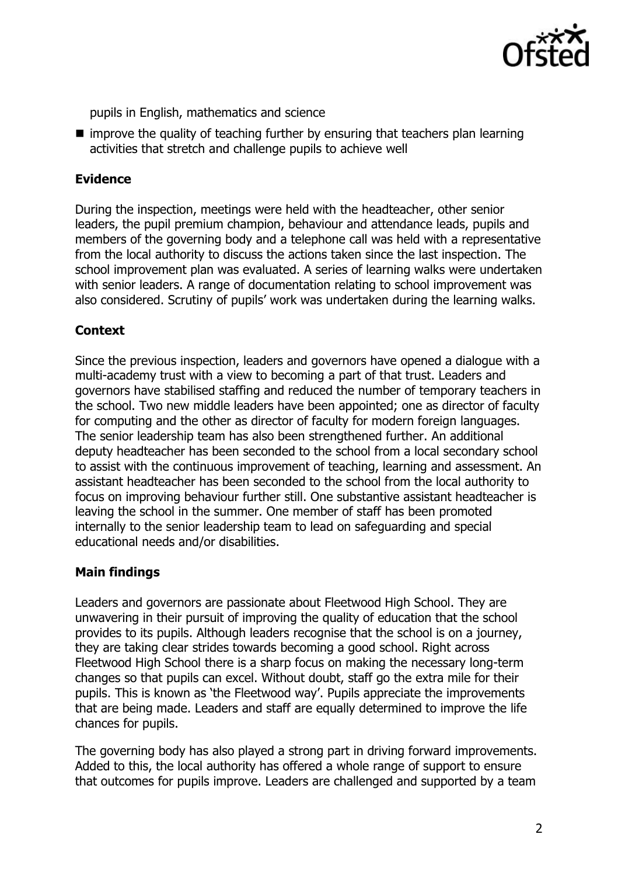

pupils in English, mathematics and science

 $\blacksquare$  improve the quality of teaching further by ensuring that teachers plan learning activities that stretch and challenge pupils to achieve well

## **Evidence**

During the inspection, meetings were held with the headteacher, other senior leaders, the pupil premium champion, behaviour and attendance leads, pupils and members of the governing body and a telephone call was held with a representative from the local authority to discuss the actions taken since the last inspection. The school improvement plan was evaluated. A series of learning walks were undertaken with senior leaders. A range of documentation relating to school improvement was also considered. Scrutiny of pupils' work was undertaken during the learning walks.

# **Context**

Since the previous inspection, leaders and governors have opened a dialogue with a multi-academy trust with a view to becoming a part of that trust. Leaders and governors have stabilised staffing and reduced the number of temporary teachers in the school. Two new middle leaders have been appointed; one as director of faculty for computing and the other as director of faculty for modern foreign languages. The senior leadership team has also been strengthened further. An additional deputy headteacher has been seconded to the school from a local secondary school to assist with the continuous improvement of teaching, learning and assessment. An assistant headteacher has been seconded to the school from the local authority to focus on improving behaviour further still. One substantive assistant headteacher is leaving the school in the summer. One member of staff has been promoted internally to the senior leadership team to lead on safeguarding and special educational needs and/or disabilities.

# **Main findings**

Leaders and governors are passionate about Fleetwood High School. They are unwavering in their pursuit of improving the quality of education that the school provides to its pupils. Although leaders recognise that the school is on a journey, they are taking clear strides towards becoming a good school. Right across Fleetwood High School there is a sharp focus on making the necessary long-term changes so that pupils can excel. Without doubt, staff go the extra mile for their pupils. This is known as 'the Fleetwood way'. Pupils appreciate the improvements that are being made. Leaders and staff are equally determined to improve the life chances for pupils.

The governing body has also played a strong part in driving forward improvements. Added to this, the local authority has offered a whole range of support to ensure that outcomes for pupils improve. Leaders are challenged and supported by a team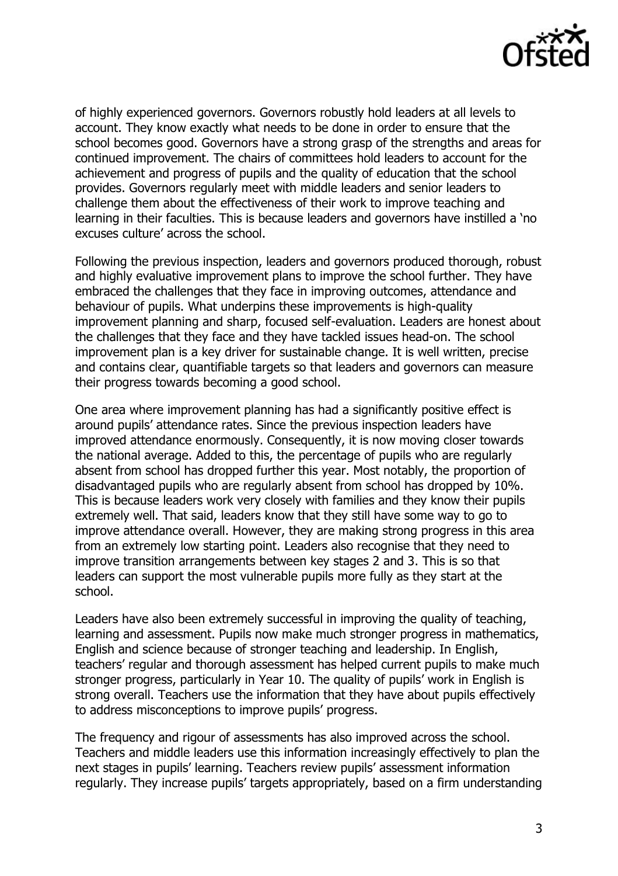

of highly experienced governors. Governors robustly hold leaders at all levels to account. They know exactly what needs to be done in order to ensure that the school becomes good. Governors have a strong grasp of the strengths and areas for continued improvement. The chairs of committees hold leaders to account for the achievement and progress of pupils and the quality of education that the school provides. Governors regularly meet with middle leaders and senior leaders to challenge them about the effectiveness of their work to improve teaching and learning in their faculties. This is because leaders and governors have instilled a 'no excuses culture' across the school.

Following the previous inspection, leaders and governors produced thorough, robust and highly evaluative improvement plans to improve the school further. They have embraced the challenges that they face in improving outcomes, attendance and behaviour of pupils. What underpins these improvements is high-quality improvement planning and sharp, focused self-evaluation. Leaders are honest about the challenges that they face and they have tackled issues head-on. The school improvement plan is a key driver for sustainable change. It is well written, precise and contains clear, quantifiable targets so that leaders and governors can measure their progress towards becoming a good school.

One area where improvement planning has had a significantly positive effect is around pupils' attendance rates. Since the previous inspection leaders have improved attendance enormously. Consequently, it is now moving closer towards the national average. Added to this, the percentage of pupils who are regularly absent from school has dropped further this year. Most notably, the proportion of disadvantaged pupils who are regularly absent from school has dropped by 10%. This is because leaders work very closely with families and they know their pupils extremely well. That said, leaders know that they still have some way to go to improve attendance overall. However, they are making strong progress in this area from an extremely low starting point. Leaders also recognise that they need to improve transition arrangements between key stages 2 and 3. This is so that leaders can support the most vulnerable pupils more fully as they start at the school.

Leaders have also been extremely successful in improving the quality of teaching, learning and assessment. Pupils now make much stronger progress in mathematics, English and science because of stronger teaching and leadership. In English, teachers' regular and thorough assessment has helped current pupils to make much stronger progress, particularly in Year 10. The quality of pupils' work in English is strong overall. Teachers use the information that they have about pupils effectively to address misconceptions to improve pupils' progress.

The frequency and rigour of assessments has also improved across the school. Teachers and middle leaders use this information increasingly effectively to plan the next stages in pupils' learning. Teachers review pupils' assessment information regularly. They increase pupils' targets appropriately, based on a firm understanding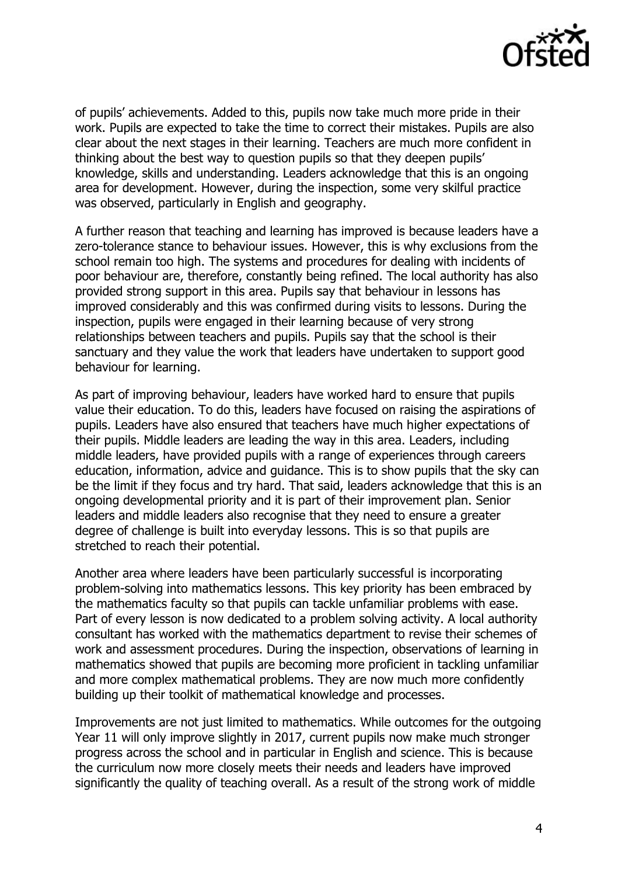

of pupils' achievements. Added to this, pupils now take much more pride in their work. Pupils are expected to take the time to correct their mistakes. Pupils are also clear about the next stages in their learning. Teachers are much more confident in thinking about the best way to question pupils so that they deepen pupils' knowledge, skills and understanding. Leaders acknowledge that this is an ongoing area for development. However, during the inspection, some very skilful practice was observed, particularly in English and geography.

A further reason that teaching and learning has improved is because leaders have a zero-tolerance stance to behaviour issues. However, this is why exclusions from the school remain too high. The systems and procedures for dealing with incidents of poor behaviour are, therefore, constantly being refined. The local authority has also provided strong support in this area. Pupils say that behaviour in lessons has improved considerably and this was confirmed during visits to lessons. During the inspection, pupils were engaged in their learning because of very strong relationships between teachers and pupils. Pupils say that the school is their sanctuary and they value the work that leaders have undertaken to support good behaviour for learning.

As part of improving behaviour, leaders have worked hard to ensure that pupils value their education. To do this, leaders have focused on raising the aspirations of pupils. Leaders have also ensured that teachers have much higher expectations of their pupils. Middle leaders are leading the way in this area. Leaders, including middle leaders, have provided pupils with a range of experiences through careers education, information, advice and guidance. This is to show pupils that the sky can be the limit if they focus and try hard. That said, leaders acknowledge that this is an ongoing developmental priority and it is part of their improvement plan. Senior leaders and middle leaders also recognise that they need to ensure a greater degree of challenge is built into everyday lessons. This is so that pupils are stretched to reach their potential.

Another area where leaders have been particularly successful is incorporating problem-solving into mathematics lessons. This key priority has been embraced by the mathematics faculty so that pupils can tackle unfamiliar problems with ease. Part of every lesson is now dedicated to a problem solving activity. A local authority consultant has worked with the mathematics department to revise their schemes of work and assessment procedures. During the inspection, observations of learning in mathematics showed that pupils are becoming more proficient in tackling unfamiliar and more complex mathematical problems. They are now much more confidently building up their toolkit of mathematical knowledge and processes.

Improvements are not just limited to mathematics. While outcomes for the outgoing Year 11 will only improve slightly in 2017, current pupils now make much stronger progress across the school and in particular in English and science. This is because the curriculum now more closely meets their needs and leaders have improved significantly the quality of teaching overall. As a result of the strong work of middle